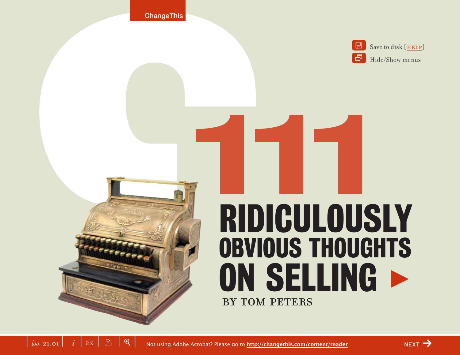



# by Tom Peters 111 ridiculously obvious thoughts ON SELLING >

 $\left| \begin{array}{c|c} i & i \end{array} \right|$   $\infty$   $\left| \begin{array}{c|c} \mathbb{B} & \mathbb{R} \end{array} \right|$ Not using Adobe Acrobat? Please go to **<http://changethis.com/content/reader>**

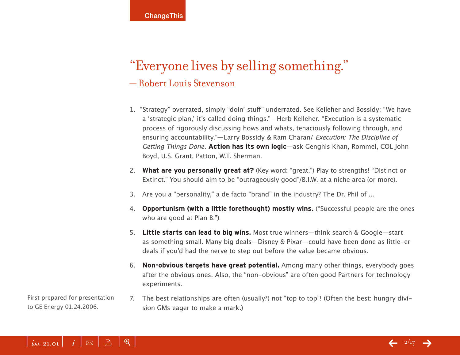## "Everyone lives by selling something." — Robert Louis Stevenson

- 1. "Strategy" overrated, simply "doin' stuff" underrated. See Kelleher and Bossidy: "We have a 'strategic plan,' it's called doing things."—Herb Kelleher. "Execution is a systematic process of rigorously discussing hows and whats, tenaciously following through, and ensuring accountability."—Larry Bossidy & Ram Charan/ Execution: The Discipline of Getting Things Done. **Action has its own logic**—ask Genghis Khan, Rommel, COL John Boyd, U.S. Grant, Patton, W.T. Sherman.
- 2. **What are you personally great at?** (Key word: "great.") Play to strengths! "Distinct or Extinct." You should aim to be "outrageously good"/B.I.W. at a niche area (or more).
- 3. Are you a "personality," a de facto "brand" in the industry? The Dr. Phil of ...
- 4. **Opportunism (with a little forethought) mostly wins.** ("Successful people are the ones who are good at Plan B.")
- 5. **Little starts can lead to big wins.** Most true winners—think search & Google—start as something small. Many big deals—Disney & Pixar—could have been done as little-er deals if you'd had the nerve to step out before the value became obvious.
- 6. **Non-obvious targets have great potential.** Among many other things, everybody goes after the obvious ones. Also, the "non-obvious" are often good Partners for technology experiments.
- 7. The best relationships are often (usually?) not "top to top"! (Often the best: hungry division GMs eager to make a mark.)

First prepared for presentation to GE Energy 01.24.2006.

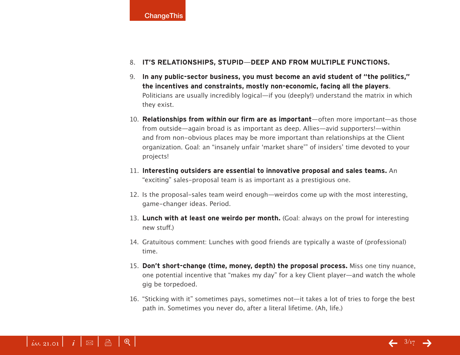**ChangeThis** 

#### 8. **IT'S RELATIONSHIPS, STUPID—DEEP AND FROM MULTIPLE FUNCTIONS.**

- 9. **In any public-sector business, you must become an avid student of "the politics," the incentives and constraints, mostly non-economic, facing all the players**. Politicians are usually incredibly logical—if you (deeply!) understand the matrix in which they exist.
- 10. **Relationships from within our firm are as important**—often more important—as those from outside—again broad is as important as deep. Allies—avid supporters!—within and from non-obvious places may be more important than relationships at the Client organization. Goal: an "insanely unfair 'market share'" of insiders' time devoted to your projects!
- 11. **Interesting outsiders are essential to innovative proposal and sales teams.** An "exciting" sales-proposal team is as important as a prestigious one.
- 12. Is the proposal-sales team weird enough—weirdos come up with the most interesting, game-changer ideas. Period.
- 13. **Lunch with at least one weirdo per month.** (Goal: always on the prowl for interesting new stuff.)
- 14. Gratuitous comment: Lunches with good friends are typically a waste of (professional) time.
- 15. **Don't short-change (time, money, depth) the proposal process.** Miss one tiny nuance, one potential incentive that "makes my day" for a key Client player—and watch the whole gig be torpedoed.
- 16. "Sticking with it" sometimes pays, sometimes not—it takes a lot of tries to forge the best path in. Sometimes you never do, after a literal lifetime. (Ah, life.)

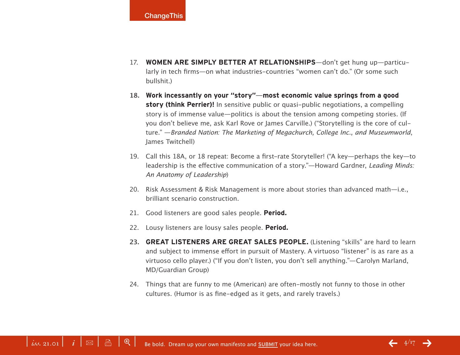- 17. **WOMEN ARE SIMPLY BETTER AT RELATIONSHIPS**—don't get hung up—particularly in tech firms—on what industries-countries "women can't do." (Or some such bullshit.)
- **18. Work incessantly on your "story"—most economic value springs from a good story (think Perrier)!** In sensitive public or quasi-public negotiations, a compelling story is of immense value—politics is about the tension among competing stories. (If you don't believe me, ask Karl Rove or James Carville.) ("Storytelling is the core of culture." —Branded Nation: The Marketing of Megachurch, College Inc., and Museumworld, James Twitchell)
- 19. Call this 18A, or 18 repeat: Become a first-rate Storyteller! ("A key—perhaps the key—to leadership is the effective communication of a story."—Howard Gardner, Leading Minds: An Anatomy of Leadership)
- 20. Risk Assessment & Risk Management is more about stories than advanced math-i.e., brilliant scenario construction.
- 21. Good listeners are good sales people. **Period.**
- 22. Lousy listeners are lousy sales people. **Period.**
- 23. **GREAT LISTENERS ARE GREAT SALES PEOPLE.** (Listening "skills" are hard to learn and subject to immense effort in pursuit of Mastery. A virtuoso "listener" is as rare as a virtuoso cello player.) ("If you don't listen, you don't sell anything."—Carolyn Marland, MD/Guardian Group)
- 24. Things that are funny to me (American) are often-mostly not funny to those in other cultures. (Humor is as fine-edged as it gets, and rarely travels.)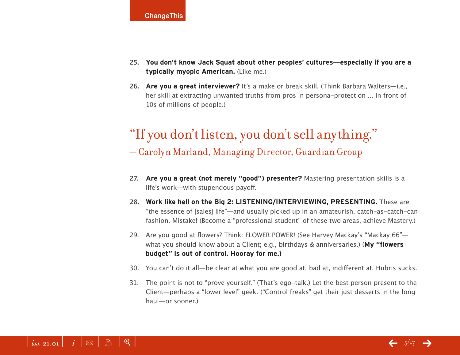- **25. You don't know Jack Squat about other peoples' cultures—especially if you are a typically myopic American.** (Like me.)
- 26. Are you a great interviewer? It's a make or break skill. (Think Barbara Walters-i.e., her skill at extracting unwanted truths from pros in persona-protection ... in front of 10s of millions of people.)

## "If you don't listen, you don't sell anything." — Carolyn Marland, Managing Director, Guardian Group

- **27. Are you a great (not merely "good") presenter?** Mastering presentation skills is a life's work—with stupendous payoff.
- **28. Work like hell on the Big 2: LISTENING/INTERVIEWING, PRESENTING.** These are "the essence of [sales] life"—and usually picked up in an amateurish, catch-as-catch-can fashion. Mistake! (Become a "professional student" of these two areas, achieve Mastery.)
- 29. Are you good at flowers? Think: FLOWER POWER! (See Harvey Mackay's "Mackay 66"what you should know about a Client; e.g., birthdays & anniversaries.) (**My "flowers budget" is out of control. Hooray for me.)**
- 30. You can't do it all—be clear at what you are good at, bad at, indifferent at. Hubris sucks.
- 31. The point is not to "prove yourself." (That's ego-talk.) Let the best person present to the Client—perhaps a "lower level" geek. ("Control freaks" get their just desserts in the long haul—or sooner.)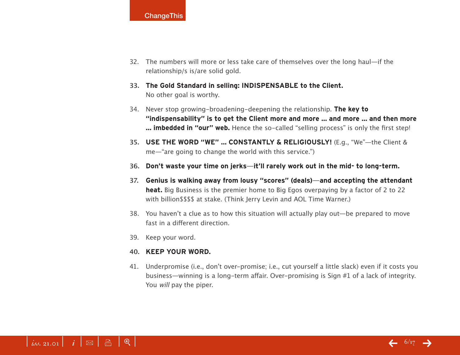

- 32. The numbers will more or less take care of themselves over the long haul—if the relationship/s is/are solid gold.
- **33. The Gold Standard in selling: INDISPENSABLE to the Client.** No other goal is worthy.
- 34. Never stop growing-broadening-deepening the relationship. **The key to "indispensability" is to get the Client more and more … and more … and then more … imbedded in "our" web.** Hence the so-called "selling process" is only the first step!
- **35. USE THE WORD "WE" … CONSTANTLY & RELIGIOUSLY!** (E.g., "We"—the Client & me—"are going to change the world with this service.")
- **36. Don't waste your time on jerks—it'll rarely work out in the mid- to long-term.**
- **37. Genius is walking away from lousy "scores" (deals)—and accepting the attendant heat.** Big Business is the premier home to Big Egos overpaying by a factor of 2 to 22 with billion\$\$\$\$ at stake. (Think Jerry Levin and AOL Time Warner.)
- 38. You haven't a clue as to how this situation will actually play out—be prepared to move fast in a different direction.
- 39. Keep your word.

#### **40. KEEP YOUR WORD.**

41. Underpromise (i.e., don't over-promise; i.e., cut yourself a little slack) even if it costs you business—winning is a long-term affair. Over-promising is Sign #1 of a lack of integrity. You *will* pay the piper.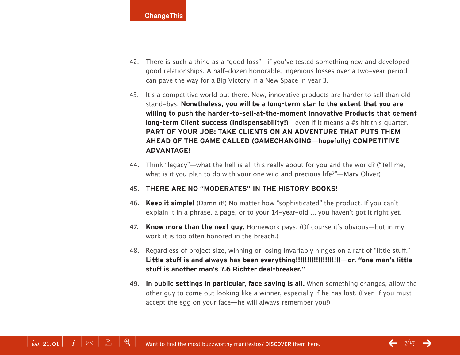- 42. There is such a thing as a "good loss"—if you've tested something new and developed good relationships. A half-dozen honorable, ingenious losses over a two-year period can pave the way for a Big Victory in a New Space in year 3.
- 43. It's a competitive world out there. New, innovative products are harder to sell than old stand-bys. **Nonetheless, you will be a long-term star to the extent that you are willing to push the harder-to-sell-at-the-moment Innovative Products that cement long-term Client success (Indispensability!)**—even if it means a #s hit this quarter. **PART OF YOUR JOB: TAKE CLIENTS ON AN ADVENTURE THAT PUTS THEM AHEAD OF THE GAME CALLED (GAMECHANGING—hopefully) COMPETITIVE ADVANTAGE!**
- 44. Think "legacy"—what the hell is all this really about for you and the world? ("Tell me, what is it you plan to do with your one wild and precious life?"—Mary Oliver)

#### **45. THERE ARE NO "MODERATES" IN THE HISTORY BOOKS!**

- **46. Keep it simple!** (Damn it!) No matter how "sophisticated" the product. If you can't explain it in a phrase, a page, or to your 14-year-old ... you haven't got it right yet.
- **47. Know more than the next guy.** Homework pays. (Of course it's obvious—but in my work it is too often honored in the breach.)
- 48. Regardless of project size, winning or losing invariably hinges on a raft of "little stuff." **Little stuff is and always has been everything!!!!!!!!!!!!!!!!!!!!—or, "one man's little stuff is another man's 7.6 Richter deal-breaker."**
- **49. In public settings in particular, face saving is all.** When something changes, allow the other guy to come out looking like a winner, especially if he has lost. (Even if you must accept the egg on your face—he will always remember you!)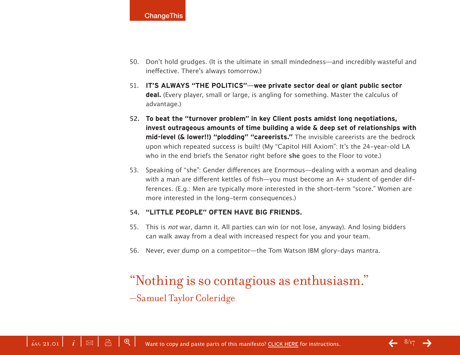- 50. Don't hold grudges. (It is the ultimate in small mindedness—and incredibly wasteful and ineffective. There's always tomorrow.)
- 51. **IT'S ALWAYS "THE POLITICS"—wee private sector deal or giant public sector deal.** (Every player, small or large, is angling for something. Master the calculus of advantage.)
- **52. To beat the "turnover problem" in key Client posts amidst long negotiations, invest outrageous amounts of time building a wide & deep set of relationships with mid-level (& lower!!) "plodding" "careerists."** The invisible careerists are the bedrock upon which repeated success is built! (My "Capitol Hill Axiom": It's the 24-year-old LA who in the end briefs the Senator right before **she** goes to the Floor to vote.)
- 53. Speaking of "she": Gender differences are Enormous—dealing with a woman and dealing with a man are different kettles of fish-you must become an A+ student of gender differences. (E.g.: Men are typically more interested in the short-term "score." Women are more interested in the long-term consequences.)

#### **54. "LITTLE PEOPLE" OFTEN HAVE BIG FRIENDS.**

- 55. This is not war, damn it. All parties can win (or not lose, anyway). And losing bidders can walk away from a deal with increased respect for you and your team.
- 56. Never, ever dump on a competitor—the Tom Watson IBM glory-days mantra.

## "Nothing is so contagious as enthusiasm."

—Samuel Taylor Coleridge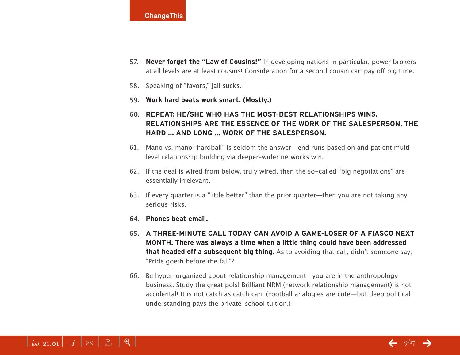

- **57. Never forget the "Law of Cousins!"** In developing nations in particular, power brokers at all levels are at least cousins! Consideration for a second cousin can pay off big time.
- 58. Speaking of "favors," jail sucks.
- **59. Work hard beats work smart. (Mostly.)**
- **60. REPEAT: HE/SHE WHO HAS THE MOST-BEST RELATIONSHIPS WINS. RELATIONSHIPS ARE THE ESSENCE OF THE WORK OF THE SALESPERSON. THE HARD ... AND LONG ... WORK OF THE SALESPERSON.**
- 61. Mano vs. mano "hardball" is seldom the answer—end runs based on and patient multilevel relationship building via deeper-wider networks win.
- 62. If the deal is wired from below, truly wired, then the so-called "big negotiations" are essentially irrelevant.
- 63. If every quarter is a "little better" than the prior quarter—then you are not taking any serious risks.
- **64. Phones beat email.**
- **65. A THREE-MINUTE CALL TODAY CAN AVOID A GAME-LOSER OF A FIASCO NEXT MONTH. There was always a time when a little thing could have been addressed that headed off a subsequent big thing.** As to avoiding that call, didn't someone say, "Pride goeth before the fall"?
- 66. Be hyper-organized about relationship management—you are in the anthropology business. Study the great pols! Brilliant NRM (network relationship management) is not accidental! It is not catch as catch can. (Football analogies are cute—but deep political understanding pays the private-school tuition.)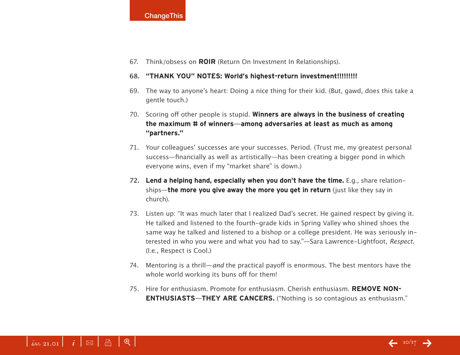#### **ChangeThis**

67. Think/obsess on **ROIR** (Return On Investment In Relationships).

#### **68. "THANK YOU" NOTES: World's highest-return investment!!!!!!!!!**

- 69. The way to anyone's heart: Doing a nice thing for their kid. (But, gawd, does this take a gentle touch.)
- 70. Scoring off other people is stupid. **Winners are always in the business of creating the maximum # of winners—among adversaries at least as much as among "partners."**
- 71. Your colleagues' successes are your successes. Period. (Trust me, my greatest personal success—financially as well as artistically—has been creating a bigger pond in which everyone wins, even if my "market share" is down.)
- **72.** Lend a helping hand, especially when you don't have the time. E.g., share relationships—**the more you give away the more you get in return** (just like they say in church).
- 73. Listen up: "It was much later that I realized Dad's secret. He gained respect by giving it. He talked and listened to the fourth-grade kids in Spring Valley who shined shoes the same way he talked and listened to a bishop or a college president. He was seriously interested in who you were and what you had to say."—Sara Lawrence-Lightfoot, Respect. (I.e., Respect is Cool.)
- 74. Mentoring is a thrill—and the practical payoff is enormous. The best mentors have the whole world working its buns off for them!
- 75. Hire for enthusiasm. Promote for enthusiasm. Cherish enthusiasm. **REMOVE NON-ENTHUSIASTS—THEY ARE CANCERS.** ("Nothing is so contagious as enthusiasm."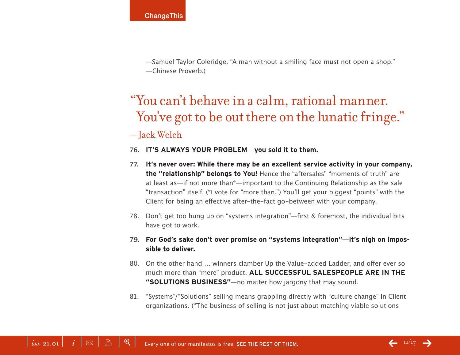—Samuel Taylor Coleridge. "A man without a smiling face must not open a shop." —Chinese Proverb.)

## "You can't behave in a calm, rational manner. You've got to be out there on the lunatic fringe." — Jack Welch

#### **76. IT'S ALWAYS YOUR PROBLEM—you sold it to them.**

- **77. It's never over: While there may be an excellent service activity in your company, the "relationship" belongs to You!** Hence the "aftersales" "moments of truth" are at least as—if not more than\*—important to the Continuing Relationship as the sale "transaction" itself. (\*I vote for "more than.") You'll get your biggest "points" with the Client for being an effective after-the-fact go-between with your company.
- 78. Don't get too hung up on "systems integration"—first & foremost, the individual bits have got to work.
- **79. For God's sake don't over promise on "systems integration"—it's nigh on impossible to deliver.**
- 80. On the other hand ... winners clamber Up the Value-added Ladder, and offer ever so much more than "mere" product. **ALL SUCCESSFUL SALESPEOPLE ARE IN THE "SOLUTIONS BUSINESS"**—no matter how jargony that may sound.
- 81. "Systems"/"Solutions" selling means grappling directly with "culture change" in Client organizations. ("The business of selling is not just about matching viable solutions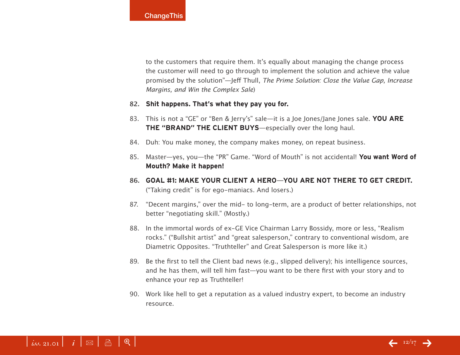to the customers that require them. It's equally about managing the change process the customer will need to go through to implement the solution and achieve the value promised by the solution"—Jeff Thull, The Prime Solution: Close the Value Gap, Increase Margins, and Win the Complex Sale)

#### **82. Shit happens. That's what they pay you for.**

- 83. This is not a "GE" or "Ben & Jerry's" sale—it is a Joe Jones/Jane Jones sale. **YOU ARE THE "BRAND" THE CLIENT BUYS**—especially over the long haul.
- 84. Duh: You make money, the company makes money, on repeat business.
- 85. Master—yes, you—the "PR" Game. "Word of Mouth" is not accidental! **You want Word of Mouth? Make it happen!**
- **86. GOAL #1: MAKE YOUR CLIENT A HERO—YOU ARE NOT THERE TO GET CREDIT.**  ("Taking credit" is for ego-maniacs. And losers.)
- 87. "Decent margins," over the mid- to long-term, are a product of better relationships, not better "negotiating skill." (Mostly.)
- 88. In the immortal words of ex-GE Vice Chairman Larry Bossidy, more or less, "Realism rocks." ("Bullshit artist" and "great salesperson," contrary to conventional wisdom, are Diametric Opposites. "Truthteller" and Great Salesperson is more like it.)
- 89. Be the first to tell the Client bad news (e.g., slipped delivery); his intelligence sources, and he has them, will tell him fast—you want to be there first with your story and to enhance your rep as Truthteller!
- 90. Work like hell to get a reputation as a valued industry expert, to become an industry resource.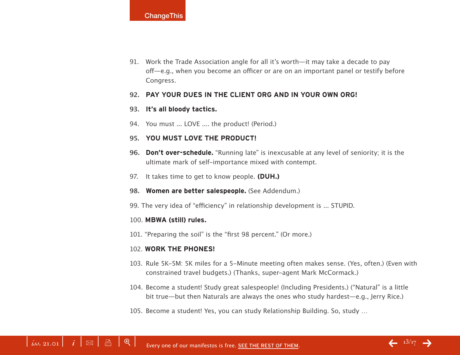91. Work the Trade Association angle for all it's worth—it may take a decade to pay off—e.g., when you become an officer or are on an important panel or testify before Congress.

#### **92. PAY YOUR DUES IN THE CLIENT ORG AND IN YOUR OWN ORG!**

#### **93. It's all bloody tactics.**

94. You must ... LOVE .... the product! (Period.)

#### **95. YOU MUST LOVE THE PRODUCT!**

- **96.** Don't over-schedule. "Running late" is inexcusable at any level of seniority; it is the ultimate mark of self-importance mixed with contempt.
- 97. It takes time to get to know people. **(DUH.)**
- 98. Women are better salespeople. (See Addendum.)
- 99. The very idea of "efficiency" in relationship development is ... STUPID.

#### 100. **MBWA (still) rules.**

101. "Preparing the soil" is the "first 98 percent." (Or more.)

#### 102. **WORK THE PHONES!**

- 103. Rule 5K-5M: 5K miles for a 5-Minute meeting often makes sense. (Yes, often.) (Even with constrained travel budgets.) (Thanks, super-agent Mark McCormack.)
- 104. Become a student! Study great salespeople! (Including Presidents.) ("Natural" is a little bit true—but then Naturals are always the ones who study hardest—e.g., Jerry Rice.)
- 105. Become a student! Yes, you can study Relationship Building. So, study ...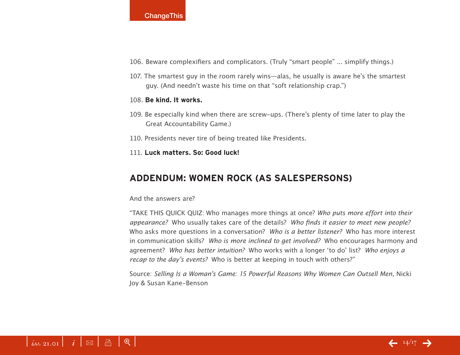#### **ChangeThis**

- 106. Beware complexifiers and complicators. (Truly "smart people" ... simplify things.)
- 107. The smartest guy in the room rarely wins—alas, he usually is aware he's the smartest guy. (And needn't waste his time on that "soft relationship crap.")

#### 108. **Be kind. It works.**

- 109. Be especially kind when there are screw-ups. (There's plenty of time later to play the Great Accountability Game.)
- 110. Presidents never tire of being treated like Presidents.
- 111. **Luck matters. So: Good luck!**

#### **Addendum: Women Rock (as Salespersons)**

#### And the answers are?

"TAKE THIS QUICK QUIZ: Who manages more things at once? Who puts more effort into their appearance? Who usually takes care of the details? Who finds it easier to meet new people? Who asks more questions in a conversation? Who is a better listener? Who has more interest in communication skills? Who is more inclined to get involved? Who encourages harmony and agreement? Who has better intuition? Who works with a longer 'to do' list? Who enjoys a recap to the day's events? Who is better at keeping in touch with others?"

Source: Selling Is a Woman's Game: 15 Powerful Reasons Why Women Can Outsell Men, Nicki Joy & Susan Kane-Benson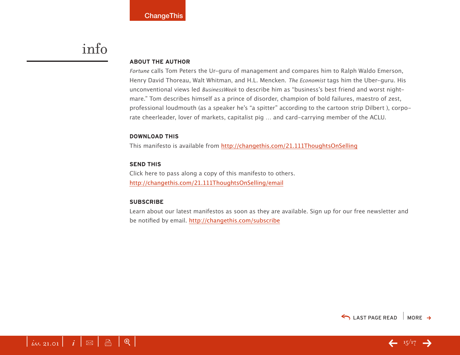## info

#### **About the Author**

Fortune calls Tom Peters the Ur-guru of management and compares him to Ralph Waldo Emerson, Henry David Thoreau, Walt Whitman, and H.L. Mencken. The Economist tags him the Uber-guru. His unconventional views led BusinessWeek to describe him as "business's best friend and worst nightmare." Tom describes himself as a prince of disorder, champion of bold failures, maestro of zest, professional loudmouth (as a speaker he's "a spitter" according to the cartoon strip Dilbert ), corporate cheerleader, lover of markets, capitalist pig … and card-carrying member of the ACLU.

#### **download this**

This manifesto is available from <http://changethis.com/21.111ThoughtsOnSelling>

#### **send this**

Click here to pass along a copy of this manifesto to others. <http://changethis.com/21.111ThoughtsOnSelling/email>

 $\int$  *iss.* 21.01  $\int$   $\int$   $\mathbb{B}$   $\int$   $\mathbb{B}$   $\int$   $\mathbb{B}$   $\int$   $\mathbb{C}$   $\int$   $\mathbb{C}$   $\int$   $\mathbb{C}$   $\int$   $\mathbb{C}$   $\int$   $\mathbb{C}$   $\int$   $\mathbb{C}$   $\int$   $\mathbb{C}$   $\int$   $\mathbb{C}$   $\int$   $\mathbb{C}$   $\int$   $\mathbb{C}$   $\int$   $\mathbb{C}$   $\$ 

#### **Subscribe**

Learn about our latest manifestos as soon as they are available. Sign up for our free newsletter and be notified by email. <http://changethis.com/subscribe>

 $\leftarrow$  15/17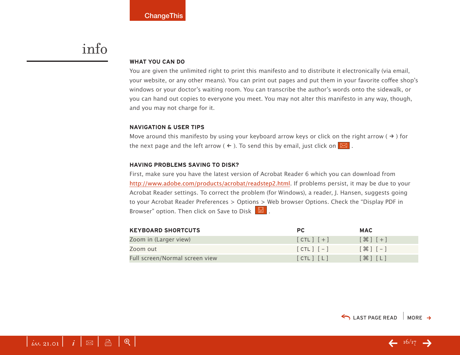## <span id="page-15-0"></span>info

#### **WHAT YOU CAN DO**

You are given the unlimited right to print this manifesto and to distribute it electronically (via email, your website, or any other means). You can print out pages and put them in your favorite coffee shop's windows or your doctor's waiting room. You can transcribe the author's words onto the sidewalk, or you can hand out copies to everyone you meet. You may not alter this manifesto in any way, though, and you may not charge for it.

#### **Navigation & User Tips**

Move around this manifesto by using your keyboard arrow keys or click on the right arrow ( $\rightarrow$ ) for the next page and the left arrow (  $\leftarrow$  ). To send this by email, just click on  $\boxed{\boxtimes}$  .

#### **Having problems saving to disk?**

First, make sure you have the latest version of Acrobat Reader 6 which you can download from [http://www.adobe.com/products/acrobat/readstep2.html.](http://www.adobe.com/products/acrobat/readstep2.html) If problems persist, it may be due to your Acrobat Reader settings. To correct the problem (for Windows), a reader, J. Hansen, suggests going to your Acrobat Reader Preferences > Options > Web browser Options. Check the "Display PDF in Browser" option. Then click on Save to Disk  $\boxed{\boxtimes}$ .

| <b>KEYBOARD SHORTCUTS</b>      | PC.           | <b>MAC</b>                        |
|--------------------------------|---------------|-----------------------------------|
| Zoom in (Larger view)          | $[CIL]$ $[+]$ | $[$ $\mathcal{H}$ $]$ $[$ $+$ $]$ |
| Zoom out                       | $[CIL]$ $[-]$ | $[ H ] - ]$                       |
| Full screen/Normal screen view | [CHL] [L]     | $[\mathcal{H}]$ $[L]$             |